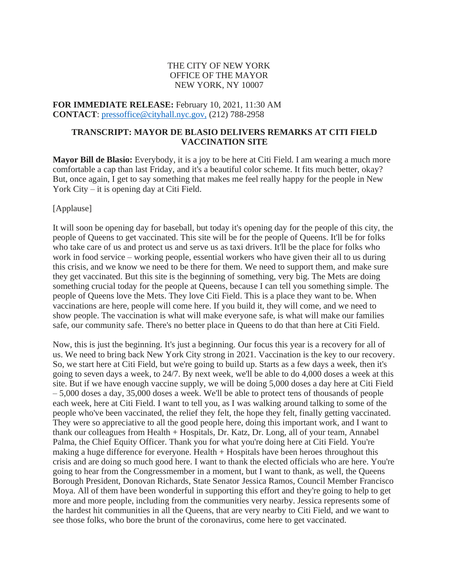## THE CITY OF NEW YORK OFFICE OF THE MAYOR NEW YORK, NY 10007

**FOR IMMEDIATE RELEASE:** February 10, 2021, 11:30 AM **CONTACT**: [pressoffice@cityhall.nyc.gov,](mailto:pressoffice@cityhall.nyc.gov) (212) 788-2958

## **TRANSCRIPT: MAYOR DE BLASIO DELIVERS REMARKS AT CITI FIELD VACCINATION SITE**

**Mayor Bill de Blasio:** Everybody, it is a joy to be here at Citi Field. I am wearing a much more comfortable a cap than last Friday, and it's a beautiful color scheme. It fits much better, okay? But, once again, I get to say something that makes me feel really happy for the people in New York City – it is opening day at Citi Field.

## [Applause]

It will soon be opening day for baseball, but today it's opening day for the people of this city, the people of Queens to get vaccinated. This site will be for the people of Queens. It'll be for folks who take care of us and protect us and serve us as taxi drivers. It'll be the place for folks who work in food service – working people, essential workers who have given their all to us during this crisis, and we know we need to be there for them. We need to support them, and make sure they get vaccinated. But this site is the beginning of something, very big. The Mets are doing something crucial today for the people at Queens, because I can tell you something simple. The people of Queens love the Mets. They love Citi Field. This is a place they want to be. When vaccinations are here, people will come here. If you build it, they will come, and we need to show people. The vaccination is what will make everyone safe, is what will make our families safe, our community safe. There's no better place in Queens to do that than here at Citi Field.

Now, this is just the beginning. It's just a beginning. Our focus this year is a recovery for all of us. We need to bring back New York City strong in 2021. Vaccination is the key to our recovery. So, we start here at Citi Field, but we're going to build up. Starts as a few days a week, then it's going to seven days a week, to 24/7. By next week, we'll be able to do 4,000 doses a week at this site. But if we have enough vaccine supply, we will be doing 5,000 doses a day here at Citi Field – 5,000 doses a day, 35,000 doses a week. We'll be able to protect tens of thousands of people each week, here at Citi Field. I want to tell you, as I was walking around talking to some of the people who've been vaccinated, the relief they felt, the hope they felt, finally getting vaccinated. They were so appreciative to all the good people here, doing this important work, and I want to thank our colleagues from Health + Hospitals, Dr. Katz, Dr. Long, all of your team, Annabel Palma, the Chief Equity Officer. Thank you for what you're doing here at Citi Field. You're making a huge difference for everyone. Health + Hospitals have been heroes throughout this crisis and are doing so much good here. I want to thank the elected officials who are here. You're going to hear from the Congressmember in a moment, but I want to thank, as well, the Queens Borough President, Donovan Richards, State Senator Jessica Ramos, Council Member Francisco Moya. All of them have been wonderful in supporting this effort and they're going to help to get more and more people, including from the communities very nearby. Jessica represents some of the hardest hit communities in all the Queens, that are very nearby to Citi Field, and we want to see those folks, who bore the brunt of the coronavirus, come here to get vaccinated.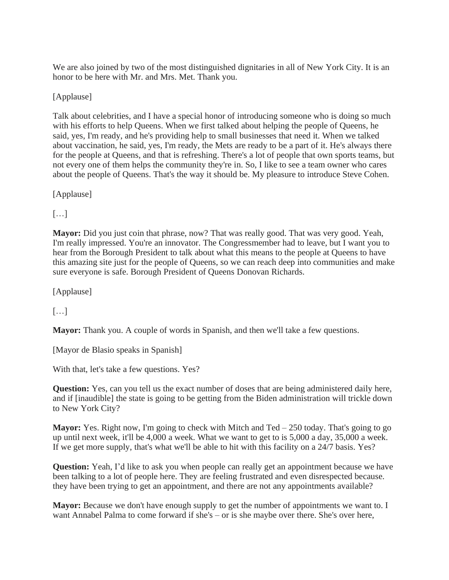We are also joined by two of the most distinguished dignitaries in all of New York City. It is an honor to be here with Mr. and Mrs. Met. Thank you.

[Applause]

Talk about celebrities, and I have a special honor of introducing someone who is doing so much with his efforts to help Queens. When we first talked about helping the people of Queens, he said, yes, I'm ready, and he's providing help to small businesses that need it. When we talked about vaccination, he said, yes, I'm ready, the Mets are ready to be a part of it. He's always there for the people at Queens, and that is refreshing. There's a lot of people that own sports teams, but not every one of them helps the community they're in. So, I like to see a team owner who cares about the people of Queens. That's the way it should be. My pleasure to introduce Steve Cohen.

[Applause]

 $\lceil \dots \rceil$ 

**Mayor:** Did you just coin that phrase, now? That was really good. That was very good. Yeah, I'm really impressed. You're an innovator. The Congressmember had to leave, but I want you to hear from the Borough President to talk about what this means to the people at Queens to have this amazing site just for the people of Queens, so we can reach deep into communities and make sure everyone is safe. Borough President of Queens Donovan Richards.

[Applause]

 $[\dots]$ 

**Mayor:** Thank you. A couple of words in Spanish, and then we'll take a few questions.

[Mayor de Blasio speaks in Spanish]

With that, let's take a few questions. Yes?

**Question:** Yes, can you tell us the exact number of doses that are being administered daily here, and if [inaudible] the state is going to be getting from the Biden administration will trickle down to New York City?

**Mayor:** Yes. Right now, I'm going to check with Mitch and Ted – 250 today. That's going to go up until next week, it'll be 4,000 a week. What we want to get to is 5,000 a day, 35,000 a week. If we get more supply, that's what we'll be able to hit with this facility on a 24/7 basis. Yes?

**Question:** Yeah, I'd like to ask you when people can really get an appointment because we have been talking to a lot of people here. They are feeling frustrated and even disrespected because. they have been trying to get an appointment, and there are not any appointments available?

**Mayor:** Because we don't have enough supply to get the number of appointments we want to. I want Annabel Palma to come forward if she's – or is she maybe over there. She's over here,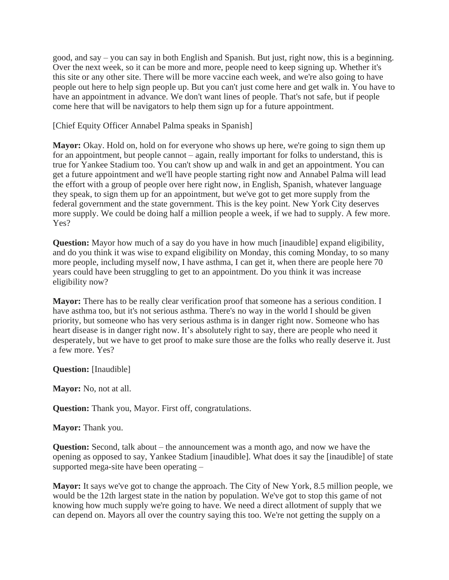good, and say – you can say in both English and Spanish. But just, right now, this is a beginning. Over the next week, so it can be more and more, people need to keep signing up. Whether it's this site or any other site. There will be more vaccine each week, and we're also going to have people out here to help sign people up. But you can't just come here and get walk in. You have to have an appointment in advance. We don't want lines of people. That's not safe, but if people come here that will be navigators to help them sign up for a future appointment.

[Chief Equity Officer Annabel Palma speaks in Spanish]

**Mayor:** Okay. Hold on, hold on for everyone who shows up here, we're going to sign them up for an appointment, but people cannot – again, really important for folks to understand, this is true for Yankee Stadium too. You can't show up and walk in and get an appointment. You can get a future appointment and we'll have people starting right now and Annabel Palma will lead the effort with a group of people over here right now, in English, Spanish, whatever language they speak, to sign them up for an appointment, but we've got to get more supply from the federal government and the state government. This is the key point. New York City deserves more supply. We could be doing half a million people a week, if we had to supply. A few more. Yes?

**Question:** Mayor how much of a say do you have in how much [inaudible] expand eligibility, and do you think it was wise to expand eligibility on Monday, this coming Monday, to so many more people, including myself now, I have asthma, I can get it, when there are people here 70 years could have been struggling to get to an appointment. Do you think it was increase eligibility now?

**Mayor:** There has to be really clear verification proof that someone has a serious condition. I have asthma too, but it's not serious asthma. There's no way in the world I should be given priority, but someone who has very serious asthma is in danger right now. Someone who has heart disease is in danger right now. It's absolutely right to say, there are people who need it desperately, but we have to get proof to make sure those are the folks who really deserve it. Just a few more. Yes?

**Question:** [Inaudible]

**Mayor:** No, not at all.

**Question:** Thank you, Mayor. First off, congratulations.

**Mayor:** Thank you.

**Question:** Second, talk about – the announcement was a month ago, and now we have the opening as opposed to say, Yankee Stadium [inaudible]. What does it say the [inaudible] of state supported mega-site have been operating –

**Mayor:** It says we've got to change the approach. The City of New York, 8.5 million people, we would be the 12th largest state in the nation by population. We've got to stop this game of not knowing how much supply we're going to have. We need a direct allotment of supply that we can depend on. Mayors all over the country saying this too. We're not getting the supply on a